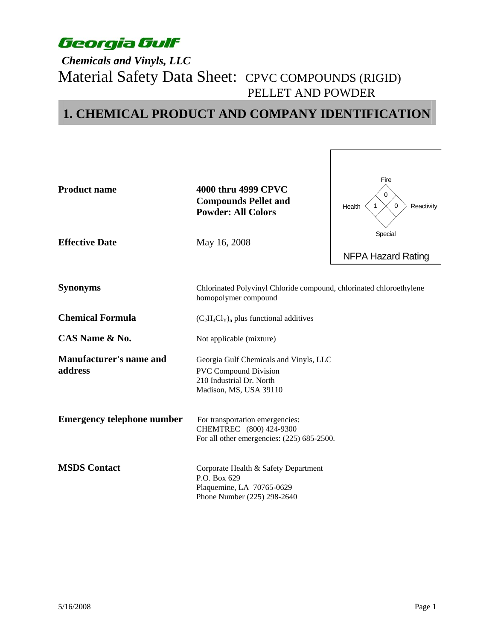### *Chemicals and Vinyls, LLC*  Material Safety Data Sheet: CPVC COMPOUNDS (RIGID) PELLET AND POWDER

## **1. CHEMICAL PRODUCT AND COMPANY IDENTIFICATION**

| <b>Product name</b><br><b>Effective Date</b> | 4000 thru 4999 CPVC<br><b>Compounds Pellet and</b><br><b>Powder: All Colors</b><br>May 16, 2008                              | Fire<br>$\Omega$<br>$\Omega$<br>$\mathbf{1}$<br>Reactivity<br>Health<br>Special |  |
|----------------------------------------------|------------------------------------------------------------------------------------------------------------------------------|---------------------------------------------------------------------------------|--|
|                                              |                                                                                                                              | <b>NFPA Hazard Rating</b>                                                       |  |
| <b>Synonyms</b>                              | Chlorinated Polyvinyl Chloride compound, chlorinated chloroethylene<br>homopolymer compound                                  |                                                                                 |  |
| <b>Chemical Formula</b>                      | $(C_2H_4Cl_Y)$ <sub>n</sub> plus functional additives                                                                        |                                                                                 |  |
| CAS Name & No.                               | Not applicable (mixture)                                                                                                     |                                                                                 |  |
| <b>Manufacturer's name and</b><br>address    | Georgia Gulf Chemicals and Vinyls, LLC<br><b>PVC Compound Division</b><br>210 Industrial Dr. North<br>Madison, MS, USA 39110 |                                                                                 |  |
| <b>Emergency telephone number</b>            | For transportation emergencies:<br>CHEMTREC (800) 424-9300<br>For all other emergencies: (225) 685-2500.                     |                                                                                 |  |
| <b>MSDS Contact</b>                          | Corporate Health & Safety Department<br>P.O. Box 629<br>Plaquemine, LA 70765-0629<br>Phone Number (225) 298-2640             |                                                                                 |  |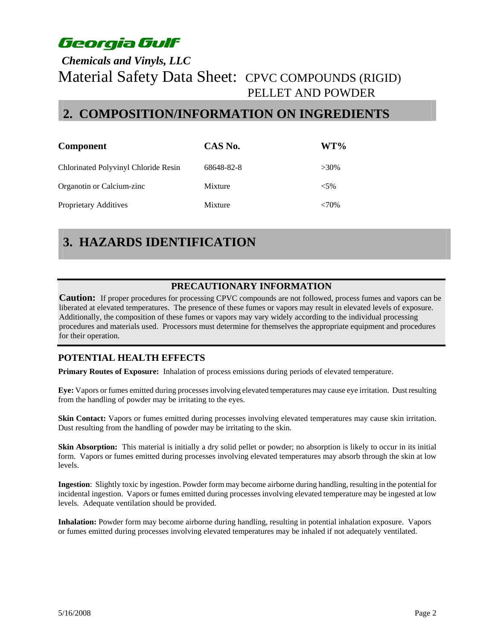### *Chemicals and Vinyls, LLC*  Material Safety Data Sheet: CPVC COMPOUNDS (RIGID) PELLET AND POWDER

### **2. COMPOSITION/INFORMATION ON INGREDIENTS**

| <b>Component</b>                     | CAS No.    | WT%      |
|--------------------------------------|------------|----------|
| Chlorinated Polyvinyl Chloride Resin | 68648-82-8 | $>30\%$  |
| Organotin or Calcium-zinc            | Mixture    | ${<}5\%$ |
| Proprietary Additives                | Mixture    | $<70\%$  |

## **3. HAZARDS IDENTIFICATION**

#### **PRECAUTIONARY INFORMATION**

**Caution:** If proper procedures for processing CPVC compounds are not followed, process fumes and vapors can be liberated at elevated temperatures. The presence of these fumes or vapors may result in elevated levels of exposure. Additionally, the composition of these fumes or vapors may vary widely according to the individual processing procedures and materials used. Processors must determine for themselves the appropriate equipment and procedures for their operation.

#### **POTENTIAL HEALTH EFFECTS**

**Primary Routes of Exposure:** Inhalation of process emissions during periods of elevated temperature.

**Eye:** Vapors or fumes emitted during processes involving elevated temperatures may cause eye irritation. Dust resulting from the handling of powder may be irritating to the eyes.

**Skin Contact:** Vapors or fumes emitted during processes involving elevated temperatures may cause skin irritation. Dust resulting from the handling of powder may be irritating to the skin.

Skin Absorption: This material is initially a dry solid pellet or powder; no absorption is likely to occur in its initial form. Vapors or fumes emitted during processes involving elevated temperatures may absorb through the skin at low levels.

**Ingestion**: Slightly toxic by ingestion. Powder form may become airborne during handling, resulting in the potential for incidental ingestion. Vapors or fumes emitted during processes involving elevated temperature may be ingested at low levels. Adequate ventilation should be provided.

**Inhalation:** Powder form may become airborne during handling, resulting in potential inhalation exposure. Vapors or fumes emitted during processes involving elevated temperatures may be inhaled if not adequately ventilated.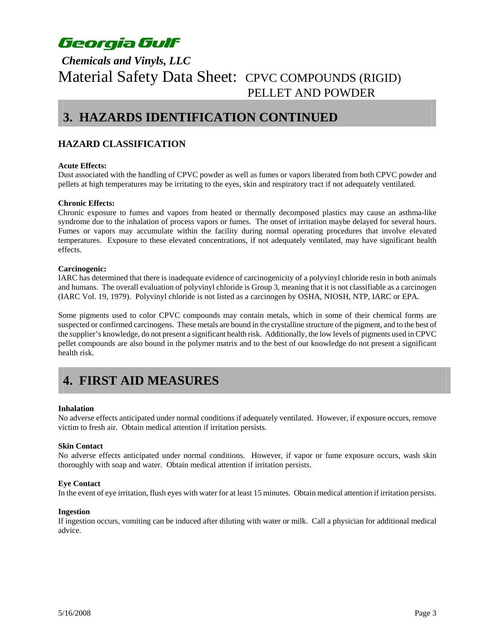### *Chemicals and Vinyls, LLC*  Material Safety Data Sheet: CPVC COMPOUNDS (RIGID) PELLET AND POWDER

### **3. HAZARDS IDENTIFICATION CONTINUED**

#### **HAZARD CLASSIFICATION**

#### **Acute Effects:**

Dust associated with the handling of CPVC powder as well as fumes or vapors liberated from both CPVC powder and pellets at high temperatures may be irritating to the eyes, skin and respiratory tract if not adequately ventilated.

#### **Chronic Effects:**

Chronic exposure to fumes and vapors from heated or thermally decomposed plastics may cause an asthma-like syndrome due to the inhalation of process vapors or fumes. The onset of irritation maybe delayed for several hours. Fumes or vapors may accumulate within the facility during normal operating procedures that involve elevated temperatures. Exposure to these elevated concentrations, if not adequately ventilated, may have significant health effects.

#### **Carcinogenic:**

IARC has determined that there is inadequate evidence of carcinogenicity of a polyvinyl chloride resin in both animals and humans. The overall evaluation of polyvinyl chloride is Group 3, meaning that it is not classifiable as a carcinogen (IARC Vol. 19, 1979). Polyvinyl chloride is not listed as a carcinogen by OSHA, NIOSH, NTP, IARC or EPA.

Some pigments used to color CPVC compounds may contain metals, which in some of their chemical forms are suspected or confirmed carcinogens. These metals are bound in the crystalline structure of the pigment, and to the best of the supplier's knowledge, do not present a significant health risk. Additionally, the low levels of pigments used in CPVC pellet compounds are also bound in the polymer matrix and to the best of our knowledge do not present a significant health risk.

## **4. FIRST AID MEASURES**

#### **Inhalation**

No adverse effects anticipated under normal conditions if adequately ventilated. However, if exposure occurs, remove victim to fresh air. Obtain medical attention if irritation persists.

#### **Skin Contact**

No adverse effects anticipated under normal conditions. However, if vapor or fume exposure occurs, wash skin thoroughly with soap and water. Obtain medical attention if irritation persists.

#### **Eye Contact**

In the event of eye irritation, flush eyes with water for at least 15 minutes. Obtain medical attention if irritation persists.

#### **Ingestion**

If ingestion occurs, vomiting can be induced after diluting with water or milk. Call a physician for additional medical advice.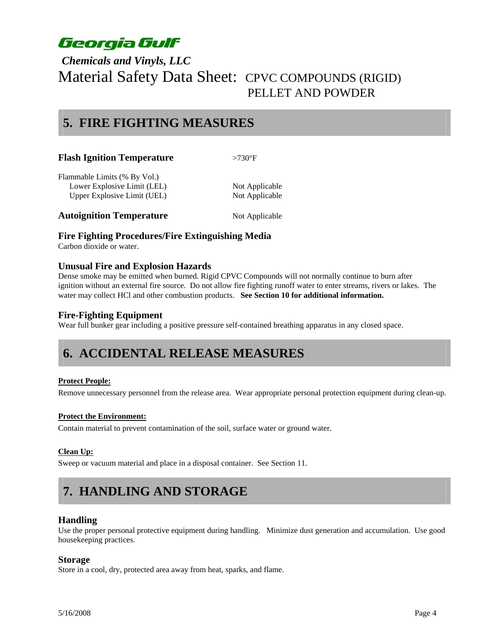### *Chemicals and Vinyls, LLC*  Material Safety Data Sheet: CPVC COMPOUNDS (RIGID) PELLET AND POWDER

### **5. FIRE FIGHTING MEASURES**

| <b>Flash Ignition Temperature</b> | $>730^\circ F$ |  |
|-----------------------------------|----------------|--|
| Flammable Limits (% By Vol.)      |                |  |
| Lower Explosive Limit (LEL)       | Not Applicable |  |
| Upper Explosive Limit (UEL)       | Not Applicable |  |
| <b>Autoignition Temperature</b>   | Not Applicable |  |

#### **Fire Fighting Procedures/Fire Extinguishing Media**

Carbon dioxide or water.

#### **Unusual Fire and Explosion Hazards**

Dense smoke may be emitted when burned. Rigid CPVC Compounds will not normally continue to burn after ignition without an external fire source. Do not allow fire fighting runoff water to enter streams, rivers or lakes. The water may collect HCl and other combustion products. **See Section 10 for additional information.** 

#### **Fire-Fighting Equipment**

Wear full bunker gear including a positive pressure self-contained breathing apparatus in any closed space.

### **6. ACCIDENTAL RELEASE MEASURES**

#### **Protect People:**

Remove unnecessary personnel from the release area. Wear appropriate personal protection equipment during clean-up.

#### **Protect the Environment:**

Contain material to prevent contamination of the soil, surface water or ground water.

#### **Clean Up:**

Sweep or vacuum material and place in a disposal container. See Section 11.

## **7. HANDLING AND STORAGE**

#### **Handling**

Use the proper personal protective equipment during handling. Minimize dust generation and accumulation. Use good housekeeping practices.

#### **Storage**

Store in a cool, dry, protected area away from heat, sparks, and flame.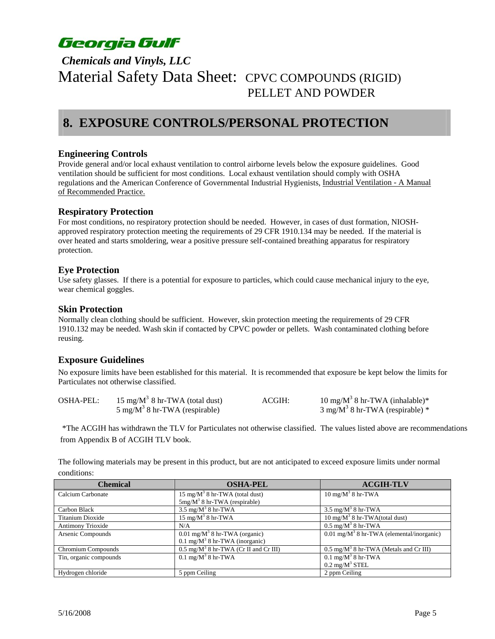### *Chemicals and Vinyls, LLC*  Material Safety Data Sheet: CPVC COMPOUNDS (RIGID) PELLET AND POWDER

### **8. EXPOSURE CONTROLS/PERSONAL PROTECTION**

#### **Engineering Controls**

Provide general and/or local exhaust ventilation to control airborne levels below the exposure guidelines. Good ventilation should be sufficient for most conditions. Local exhaust ventilation should comply with OSHA regulations and the American Conference of Governmental Industrial Hygienists, Industrial Ventilation - A Manual of Recommended Practice.

#### **Respiratory Protection**

For most conditions, no respiratory protection should be needed. However, in cases of dust formation, NIOSHapproved respiratory protection meeting the requirements of 29 CFR 1910.134 may be needed. If the material is over heated and starts smoldering, wear a positive pressure self-contained breathing apparatus for respiratory protection.

#### **Eye Protection**

Use safety glasses. If there is a potential for exposure to particles, which could cause mechanical injury to the eye, wear chemical goggles.

#### **Skin Protection**

Normally clean clothing should be sufficient. However, skin protection meeting the requirements of 29 CFR 1910.132 may be needed. Wash skin if contacted by CPVC powder or pellets. Wash contaminated clothing before reusing.

#### **Exposure Guidelines**

No exposure limits have been established for this material. It is recommended that exposure be kept below the limits for Particulates not otherwise classified.

| <b>OSHA-PEL:</b> | 15 mg/ $M^3$ 8 hr-TWA (total dust)       | ACGIH: | $10 \text{ mg/M}^3$ 8 hr-TWA (inhalable)*  |
|------------------|------------------------------------------|--------|--------------------------------------------|
|                  | $5 \text{ mg/M}^3$ 8 hr-TWA (respirable) |        | $3 \text{ mg/M}^3$ 8 hr-TWA (respirable) * |

 \*The ACGIH has withdrawn the TLV for Particulates not otherwise classified. The values listed above are recommendations from Appendix B of ACGIH TLV book.

The following materials may be present in this product, but are not anticipated to exceed exposure limits under normal conditions:

| <b>Chemical</b>          | <b>OSHA-PEL</b>                                  | <b>ACGIH-TLV</b>                                     |
|--------------------------|--------------------------------------------------|------------------------------------------------------|
| Calcium Carbonate        | $15 \text{ mg/M}^3$ 8 hr-TWA (total dust)        | $10 \text{ mg/M}^3$ 8 hr-TWA                         |
|                          | $5mg/M^3$ 8 hr-TWA (respirable)                  |                                                      |
| Carbon Black             | $3.5 \text{ mg/M}^3$ 8 hr-TWA                    | $3.5 \text{ mg/M}^3$ 8 hr-TWA                        |
| Titanium Dioxide         | $15 \text{ mg/M}^3$ 8 hr-TWA                     | $10 \text{ mg/M}^3$ 8 hr-TWA(total dust)             |
| <b>Antimony Trioxide</b> | N/A                                              | $0.5 \text{ mg/M}^3$ 8 hr-TWA                        |
| Arsenic Compounds        | $0.01 \text{ mg/M}^3$ 8 hr-TWA (organic)         | $0.01 \text{ mg/M}^3$ 8 hr-TWA (elemental/inorganic) |
|                          | $0.1$ mg/M <sup>3</sup> 8 hr-TWA (inorganic)     |                                                      |
| Chromium Compounds       | $0.5 \text{ mg/M}^3$ 8 hr-TWA (Cr II and Cr III) | $0.5 \text{ mg/M}^3$ 8 hr-TWA (Metals and Cr III)    |
| Tin, organic compounds   | $0.1 \text{ mg/M}^3$ 8 hr-TWA                    | $0.1 \text{ mg/M}^3$ 8 hr-TWA                        |
|                          |                                                  | $0.2 \text{ mg/M}^3$ STEL                            |
| Hydrogen chloride        | 5 ppm Ceiling                                    | 2 ppm Ceiling                                        |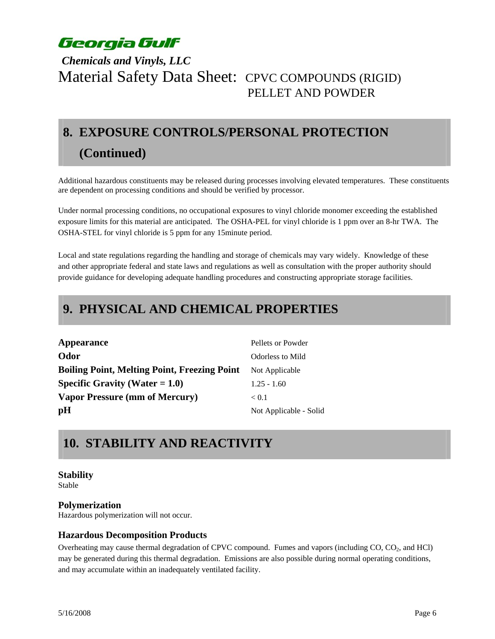### *Chemicals and Vinyls, LLC*  Material Safety Data Sheet: CPVC COMPOUNDS (RIGID) PELLET AND POWDER

# **8. EXPOSURE CONTROLS/PERSONAL PROTECTION (Continued)**

Additional hazardous constituents may be released during processes involving elevated temperatures. These constituents are dependent on processing conditions and should be verified by processor.

Under normal processing conditions, no occupational exposures to vinyl chloride monomer exceeding the established exposure limits for this material are anticipated. The OSHA-PEL for vinyl chloride is 1 ppm over an 8-hr TWA. The OSHA-STEL for vinyl chloride is 5 ppm for any 15minute period.

Local and state regulations regarding the handling and storage of chemicals may vary widely. Knowledge of these and other appropriate federal and state laws and regulations as well as consultation with the proper authority should provide guidance for developing adequate handling procedures and constructing appropriate storage facilities.

## **9. PHYSICAL AND CHEMICAL PROPERTIES**

| Appearance                                          | Pellets or Powder       |
|-----------------------------------------------------|-------------------------|
| Odor                                                | <b>Odorless to Mild</b> |
| <b>Boiling Point, Melting Point, Freezing Point</b> | Not Applicable          |
| Specific Gravity (Water $= 1.0$ )                   | $1.25 - 1.60$           |
| <b>Vapor Pressure (mm of Mercury)</b>               | < 0.1                   |
| pH                                                  | Not Applicable - Solid  |

## **10. STABILITY AND REACTIVITY**

#### **Stability**

Stable

#### **Polymerization**

Hazardous polymerization will not occur.

#### **Hazardous Decomposition Products**

Overheating may cause thermal degradation of CPVC compound. Fumes and vapors (including CO, CO<sub>2</sub>, and HCl) may be generated during this thermal degradation. Emissions are also possible during normal operating conditions, and may accumulate within an inadequately ventilated facility.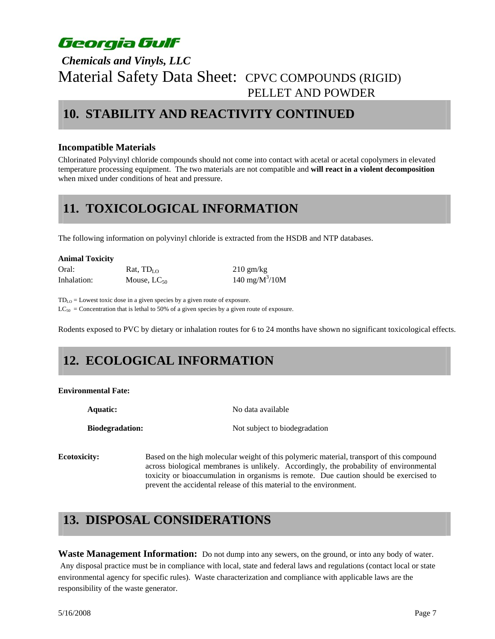### *Chemicals and Vinyls, LLC*  Material Safety Data Sheet: CPVC COMPOUNDS (RIGID) PELLET AND POWDER

### **10. STABILITY AND REACTIVITY CONTINUED**

#### **Incompatible Materials**

Chlorinated Polyvinyl chloride compounds should not come into contact with acetal or acetal copolymers in elevated temperature processing equipment. The two materials are not compatible and **will react in a violent decomposition** when mixed under conditions of heat and pressure.

### **11. TOXICOLOGICAL INFORMATION**

The following information on polyvinyl chloride is extracted from the HSDB and NTP databases.

| <b>Animal Toxicity</b> |  |
|------------------------|--|
|------------------------|--|

Oral: Rat,  $TD_{LO}$  210 gm/kg Inhalation: Mouse,  $LC_{50}$ 

140 mg/ $M^3/10M$ 

 $TD_{LO} =$  Lowest toxic dose in a given species by a given route of exposure.  $LC_{50}$  = Concentration that is lethal to 50% of a given species by a given route of exposure.

Rodents exposed to PVC by dietary or inhalation routes for 6 to 24 months have shown no significant toxicological effects.

# **12. ECOLOGICAL INFORMATION**

#### **Environmental Fate:**

**Aquatic:** No data available

**Biodegradation:** Not subject to biodegradation

**Ecotoxicity:** Based on the high molecular weight of this polymeric material, transport of this compound across biological membranes is unlikely. Accordingly, the probability of environmental toxicity or bioaccumulation in organisms is remote. Due caution should be exercised to prevent the accidental release of this material to the environment.

## **13. DISPOSAL CONSIDERATIONS**

**Waste Management Information:** Do not dump into any sewers, on the ground, or into any body of water. Any disposal practice must be in compliance with local, state and federal laws and regulations (contact local or state environmental agency for specific rules). Waste characterization and compliance with applicable laws are the responsibility of the waste generator.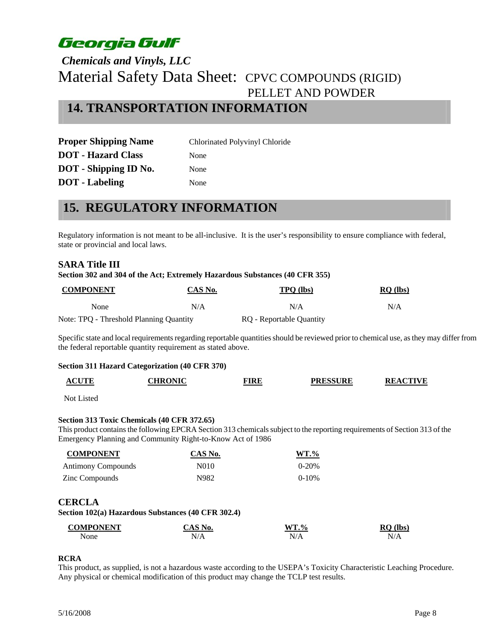### *Chemicals and Vinyls, LLC*  Material Safety Data Sheet: CPVC COMPOUNDS (RIGID) PELLET AND POWDER **14. TRANSPORTATION INFORMATION**

**Proper Shipping Name** Chlorinated Polyvinyl Chloride **DOT** - **Hazard Class** None **DOT** - Shipping **ID** No. None **DOT** - Labeling None

### **15. REGULATORY INFORMATION**

Regulatory information is not meant to be all-inclusive. It is the user's responsibility to ensure compliance with federal, state or provincial and local laws.

#### **SARA Title III**

#### **Section 302 and 304 of the Act; Extremely Hazardous Substances (40 CFR 355)**

| <b>COMPONENT</b>                        | CAS No. | <b>TPO</b> (lbs)         | $RQ$ (lbs) |
|-----------------------------------------|---------|--------------------------|------------|
| None                                    | N/A     | N/A                      | N/A        |
| Note: TPQ - Threshold Planning Quantity |         | RQ - Reportable Quantity |            |

Specific state and local requirements regarding reportable quantities should be reviewed prior to chemical use, as they may differ from the federal reportable quantity requirement as stated above.

#### **Section 311 Hazard Categorization (40 CFR 370)**

| <b>ACUTE</b> | <b>CHRONIC</b> | TIRE | <b>PRESSURE</b> | <b>REACTIVE</b> |
|--------------|----------------|------|-----------------|-----------------|
|--------------|----------------|------|-----------------|-----------------|

Not Listed

#### **Section 313 Toxic Chemicals (40 CFR 372.65)**

This product contains the following EPCRA Section 313 chemicals subject to the reporting requirements of Section 313 of the Emergency Planning and Community Right-to-Know Act of 1986

| <b>COMPONENT</b>          | CAS No. | $WT. \%$  |
|---------------------------|---------|-----------|
| <b>Antimony Compounds</b> | N010    | $0 - 20%$ |
| Zinc Compounds            | N982.   | $0 - 10%$ |

#### **CERCLA**

**Section 102(a) Hazardous Substances (40 CFR 302.4)** 

| <b>COMPONENT</b> | $S_{N0}$             | $WT. \%$ | <b>Ibs</b><br>. . |
|------------------|----------------------|----------|-------------------|
| None             | $\mathcal{L}$<br>N/A | N/A      | N/A               |

#### **RCRA**

This product, as supplied, is not a hazardous waste according to the USEPA's Toxicity Characteristic Leaching Procedure. Any physical or chemical modification of this product may change the TCLP test results.